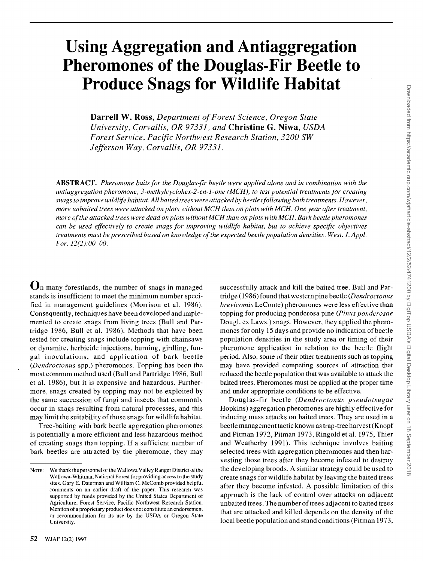# **Using Aggregation and Antiaggregation Pheromones of the Douglas-Fir Beetle to Produce Snags for Wildlife Habitat**

**Darrell W. Ross, Department of Forest Science, Oregon State University, Corvallis, OR 97331, and Christine G. Niwa, USDA Forest Service, Pacific Northwest Research Station, 3200 SW Jefferson Way, Corvallis, OR 97331.** 

**ABSTRACT. Pheromone baits for the Douglas-fir beetle were applied alone and in combination with the antiaggregation pheromone, 3-methylcyclohex-2-en-l-one (MCH), to test potential treatments for creating snags to improve wildlife habitat. All baited trees were attacked by beetles following both treatments. However, more unbaited trees were attacked on plots without MCH than on plots with MCH. One year after treatment, more of the attacked trees were dead on plots without MCH than on plots with MCH. Bark beetle pheromones can be used effectively to create snags for improving wildlife habitat, but to achieve specific objectives treatments must be prescribed based on knowledge of the expected beetle population densities. West. J. Appl.**  For. 12(2):00–00.

**On many forestlands, the number of snags in managed stands is insufficient to meet the minimum number specified in management guidelines (Morrison et al. 1986). Consequently, techniques have been developed and implemented to create snags from living trees (Bull and Partridge 1986, Bull et al. 1986). Methods that have been tested for creating snags include topping with chainsaws or dynamite, herbicide injections, burning, girdling, fungal inoculations, and application of bark beetle (Dendroctonus spp.) pheromones. Topping has been the most common method used (Bull and Partridge 1986, Bull et al. 1986), but it is expensive and hazardous. Furthermore, snags created by topping may not be exploited by the same succession of fungi and insects that commonly occur in snags resulting from natural processes, and this may limit the suitability of those snags for wildlife habitat.** 

**Tree-baiting with bark beetle aggregation pheromones is potentially a more efficient and less hazardous method of creating snags than topping. If a sufficient number of bark beetles are attracted by the pheromone, they may**  **successfully attack and kill the baited tree. Bull and Partridge (1986) found that western pine beetle (Dendroctonus brevicomis LeConte) pheromones were less effective than topping for producing ponderosa pine (Pinus ponderosae Dougl. ex Laws.) snags. However, they applied the pheromones for only 15 days and provide no indication of beetle population densities in the study area or timing of their pheromone application in relation to the beetle flight period. Also, some of their other treatments such as topping may have provided competing sources of attraction that reduced the beetle population that was available to attack the baited trees. Pheromones must be applied at the proper time and under appropriate conditions to be effective.** 

**Douglas-fir beetle (Dendroctonus pseudotsugae Hopkins) aggregation pheromones are highly effective for inducing mass attacks on baited trees. They are used in a beetle management tactic known as trap-tree harvest (Knopf and Pitman 1972, Pitman 1973, Ringold et al. 1975, Thier and Weatherby 1991). This technique involves baiting selected trees with aggregation pheromones and then harvesting those trees after they become infested to destroy the developing broods. A similar strategy could be used to create snags for wildlife habitat by leaving the baited trees after they become infested. A possible limitation of this approach is the lack of control over attacks on adjacent unbaited trees. The number of trees adjacent to baited trees that are attacked and killed depends on the density of the local beetle population and stand conditions (Pitman 1973,** 

**NOTE: We thank the personnel of the Wallowa Valley Ranger District of the Wallowa-Whitman National Forest for providing access to the study sites. Gary E. Daterman and William C. McComb provided helpful comments on an earlier draft of the paper. This research was supported by funds provided by the United States Department of Agriculture, Forest Service, Pacific Northwest Research Station. Mention of a proprietary product does not constitute an endorsement or recommendation for its use by the USDA or Oregon State University.**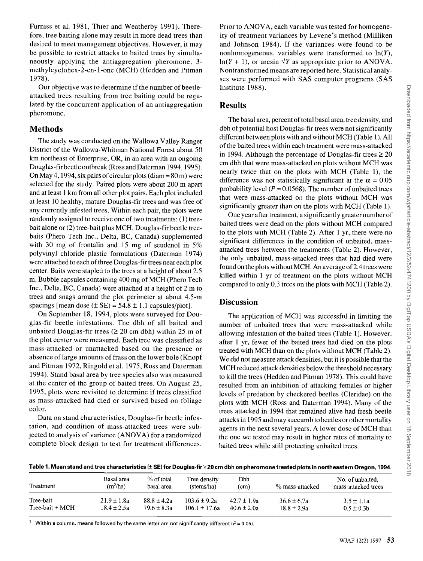Furniss et al. 1981, Thier and Weatherby 1991). There**fore, tree baiting alone may result in more dead trees than desired to meet management objectives. However, it may be possible to restrict attacks to baited trees by simultaneously applying the antiaggregation pheromone, 3 methylcyclohex-2-en-l-one (MCH) (Hedden and Pitman 1978).** 

**Our objective was to determine if the number of beetleattacked trees resulting from tree baiting could be regulated by the concurrent application of an antiaggregation pheromone.** 

#### **Methods**

**The study was conducted on the Wallowa Valley Ranger District of the Wallowa-Whitman National Forest about 50 km northeast of Enterprise, OR, in an area with an ongoing Douglas-fir beetle outbreak (Ross and Daterman 1994, 1995). On May 4, 1994, six pairs of circular plots (diam = 80 m) were selected for the study. Paired plots were about 200 m apart and at least 1 km from all other plot pairs. Each plot included at least 10 healthy, mature Douglas-fir trees and was free of any currently infested trees. Within each pair, the plots were randomly assigned to receive one of two treatments: (1) treebait alone or (2) tree-bait plus MCH. Douglas-fir beetle treebaits (Phero Tech Inc., Delta, BC, Canada) supplemented with 30 mg of frontalin and 15 mg of seudenol in 5% polyvinyl chloride plastic formulations (Daterman 1974) were attached to each of three Douglas -fir trees near each plot center. Baits were stapled to the trees at a height of about 2.5 m. Bubble capsules containing 400 mg of MCH (Phero Tech Inc., Delta, BC, Canada) were attached at a height of 2 m to trees and snags around the plot perimeter at about 4.5-m**  spacings [mean dose  $(\pm$  SE) = 54.8  $\pm$  1.1 capsules/plot].

**On September 18, 1994, plots were surveyed for Douglas-fir beetle infestations. The dbh of all baited and**  unbaited Douglas-fir trees  $(2 20 \text{ cm} \text{ db})$  within 25 m of **the plot center were measured. Each tree was classified as mass-attacked or unattacked based on the presence or absence of large amounts of frass on the lower bole (Knopf and Pitman 1972, Ringold et al. 1975, Ross and Daterman 1994). Stand basal area by tree species also was measured at the center of the group of baited trees. On August 25, 1995, plots were revisited to determine if trees classified as mass-attacked had died or survived based on foliage color.** 

**Data on stand characteristics, Douglas-fir beetle infestation, and condition of mass-attacked trees were subjected to analysis of variance (ANOVA) for a randomized complete block design to test for treatment differences.** 

**Prior to ANOVA, each variable was tested for homogeneity of treatment variances by Levene's method (Milliken and Johnson 1984). If the variances were found to be nonhomogeneous, variables were transformed to ln(Y),**   $ln(Y + 1)$ , or arcsin  $\sqrt{Y}$  as appropriate prior to ANOVA. **Nontransformed means are reported here. Statistical analyses were performed with SAS computer programs (SAS Institute 1988).** 

#### **Results**

The basal area, percent of total basal area, tree density, and **dbh of potential host Douglas-fir trees were not significantly different between plots with and without MCH (Table 1). All of the baited trees within each treatment were mass-attacked**  in 1994. Although the percentage of Douglas-fir trees  $\geq 20$ **cm dbh that were mass-attacked on plots without MCH was nearly twice that on the plots with MCH (Table 1), the**  difference was not statistically significant at the  $\alpha = 0.05$ probability level  $(P = 0.0568)$ . The number of unbaited trees **that were mass-attacked on the plots without MCH was significantly greater than on the plots with MCH (Table 1).** 

**One year after treatment, asignificantly greater number of baited trees were dead on the plots without MCH compared to the plots with MCH (Table 2). After 1 yr, there were no significant differences in the condition of unbaited, massattacked trees between the treatments (Table 2). However, the only unbaited, mass-attacked trees that had died were found on the plots without MCH. An average of 2.4 trees were killed within 1 yr of treatment on the plots without MCH compared to only 0.3 trees on the plots with MCH (Table 2).** 

### **Discussion**

**The application of MCH was successful in limiting the number of unbaited trees that were mass-attacked while allowing infestation of the baited trees (Table 1). However, after 1 yr, fewer of the baited trees had died on the plots treated with MCH than on the plots without MCH (Table 2). We did not measure attack densities, but it is possible that the MCH reduced attack densities below the threshold necessary to kill the trees (Hedden and Pitman 1978). This could have resulted from an inhibition of attacking females or higher levels of predation by checkered beetles (Cleridae) on the plots with MCH (Ross and Daterman 1994). Many of the trees attacked in 1994 that remained alive had fresh beetle attacks in 1995 and may succumb to beetles or other mortality agents in the next several years. A lower dose of MCH than the one we tested may result in higher rates of mortality to baited trees while still protecting unbaited trees.** 

Table 1. Mean stand and tree characteristics (± SE) for Douglas-fir ≥ 20 cm dbh on pheromone treated plots in northeastern Oregon, 1994.

| Treatment          | Basal area<br>$(m^2/ha)$ | % of total<br>basal area | Tree density<br>(stems/ha) | Dbh<br>(c <sub>m</sub> ) | % mass-attacked | No. of unbaited.<br>mass-attacked trees |
|--------------------|--------------------------|--------------------------|----------------------------|--------------------------|-----------------|-----------------------------------------|
| Tree-bait          | $21.9 \pm 1.8a$          | $88.8 \pm 4.2a$          | $103.6 \pm 9.2a$           | $42.7 \pm 1.9a$          | $36.6 \pm 6.7a$ | $3.5 \pm 1.1a$                          |
| $Tree$ -bait + MCH | $18.4 \pm 2.5a$          | $79.6 + 8.3a$            | $106.1 \pm 17.6a$          | $40.6 \pm 2.0a$          | $18.8 \pm 2.9a$ | $0.5 \pm 0.3$ b                         |

Within a column, means followed by the same letter are not significantly different ( $P = 0.05$ ).